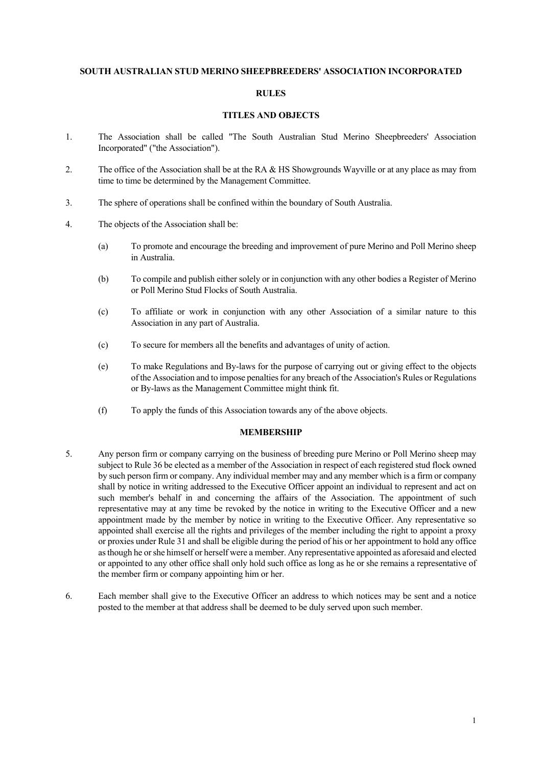#### **SOUTH AUSTRALIAN STUD MERINO SHEEPBREEDERS' ASSOCIATION INCORPORATED**

#### **RULES**

#### **TITLES AND OBJECTS**

- 1. The Association shall be called "The South Australian Stud Merino Sheepbreeders' Association Incorporated" ("the Association").
- 2. The office of the Association shall be at the RA & HS Showgrounds Wayville or at any place as may from time to time be determined by the Management Committee.
- 3. The sphere of operations shall be confined within the boundary of South Australia.
- 4. The objects of the Association shall be:
	- (a) To promote and encourage the breeding and improvement of pure Merino and Poll Merino sheep in Australia.
	- (b) To compile and publish either solely or in conjunction with any other bodies a Register of Merino or Poll Merino Stud Flocks of South Australia.
	- (c) To affiliate or work in conjunction with any other Association of a similar nature to this Association in any part of Australia.
	- (c) To secure for members all the benefits and advantages of unity of action.
	- (e) To make Regulations and By-laws for the purpose of carrying out or giving effect to the objects of the Association and to impose penalties for any breach of the Association's Rules or Regulations or By-laws as the Management Committee might think fit.
	- (f) To apply the funds of this Association towards any of the above objects.

#### **MEMBERSHIP**

- 5. Any person firm or company carrying on the business of breeding pure Merino or Poll Merino sheep may subject to Rule 36 be elected as a member of the Association in respect of each registered stud flock owned by such person firm or company. Any individual member may and any member which is a firm or company shall by notice in writing addressed to the Executive Officer appoint an individual to represent and act on such member's behalf in and concerning the affairs of the Association. The appointment of such representative may at any time be revoked by the notice in writing to the Executive Officer and a new appointment made by the member by notice in writing to the Executive Officer. Any representative so appointed shall exercise all the rights and privileges of the member including the right to appoint a proxy or proxies under Rule 31 and shall be eligible during the period of his or her appointment to hold any office as though he or she himself or herself were a member. Any representative appointed as aforesaid and elected or appointed to any other office shall only hold such office as long as he or she remains a representative of the member firm or company appointing him or her.
- 6. Each member shall give to the Executive Officer an address to which notices may be sent and a notice posted to the member at that address shall be deemed to be duly served upon such member.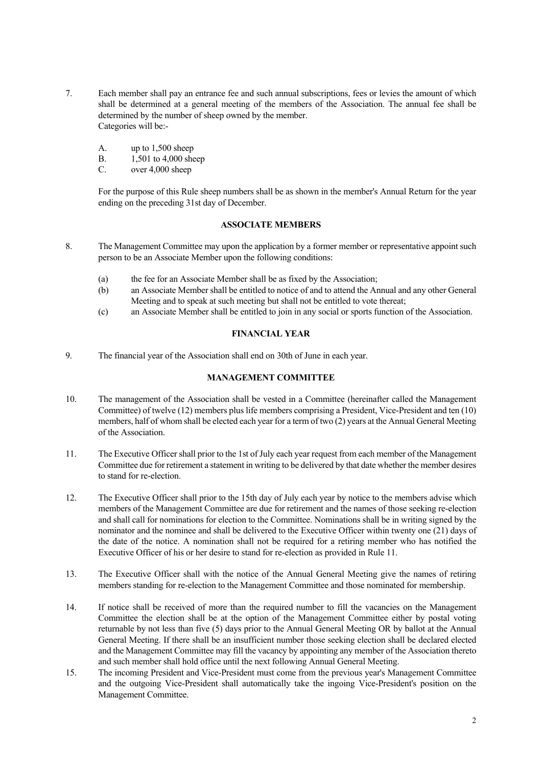- 7. Each member shall pay an entrance fee and such annual subscriptions, fees or levies the amount of which shall be determined at a general meeting of the members of the Association. The annual fee shall be determined by the number of sheep owned by the member. Categories will be:-
	- A. up to 1,500 sheep
	- B. 1,501 to 4,000 sheep
	- C. over 4,000 sheep

 For the purpose of this Rule sheep numbers shall be as shown in the member's Annual Return for the year ending on the preceding 31st day of December.

## **ASSOCIATE MEMBERS**

- 8. The Management Committee may upon the application by a former member or representative appoint such person to be an Associate Member upon the following conditions:
	- (a) the fee for an Associate Member shall be as fixed by the Association;
	- (b) an Associate Member shall be entitled to notice of and to attend the Annual and any other General Meeting and to speak at such meeting but shall not be entitled to vote thereat;
	- (c) an Associate Member shall be entitled to join in any social or sports function of the Association.

## **FINANCIAL YEAR**

9. The financial year of the Association shall end on 30th of June in each year.

#### **MANAGEMENT COMMITTEE**

- 10. The management of the Association shall be vested in a Committee (hereinafter called the Management Committee) of twelve (12) members plus life members comprising a President, Vice-President and ten (10) members, half of whom shall be elected each year for a term of two (2) years at the Annual General Meeting of the Association.
- 11. The Executive Officer shall prior to the 1st of July each year request from each member of the Management Committee due for retirement a statement in writing to be delivered by that date whether the member desires to stand for re-election.
- 12. The Executive Officer shall prior to the 15th day of July each year by notice to the members advise which members of the Management Committee are due for retirement and the names of those seeking re-election and shall call for nominations for election to the Committee. Nominations shall be in writing signed by the nominator and the nominee and shall be delivered to the Executive Officer within twenty one (21) days of the date of the notice. A nomination shall not be required for a retiring member who has notified the Executive Officer of his or her desire to stand for re-election as provided in Rule 11.
- 13. The Executive Officer shall with the notice of the Annual General Meeting give the names of retiring members standing for re-election to the Management Committee and those nominated for membership.
- 14. If notice shall be received of more than the required number to fill the vacancies on the Management Committee the election shall be at the option of the Management Committee either by postal voting returnable by not less than five (5) days prior to the Annual General Meeting OR by ballot at the Annual General Meeting. If there shall be an insufficient number those seeking election shall be declared elected and the Management Committee may fill the vacancy by appointing any member of the Association thereto and such member shall hold office until the next following Annual General Meeting.
- 15. The incoming President and Vice-President must come from the previous year's Management Committee and the outgoing Vice-President shall automatically take the ingoing Vice-President's position on the Management Committee.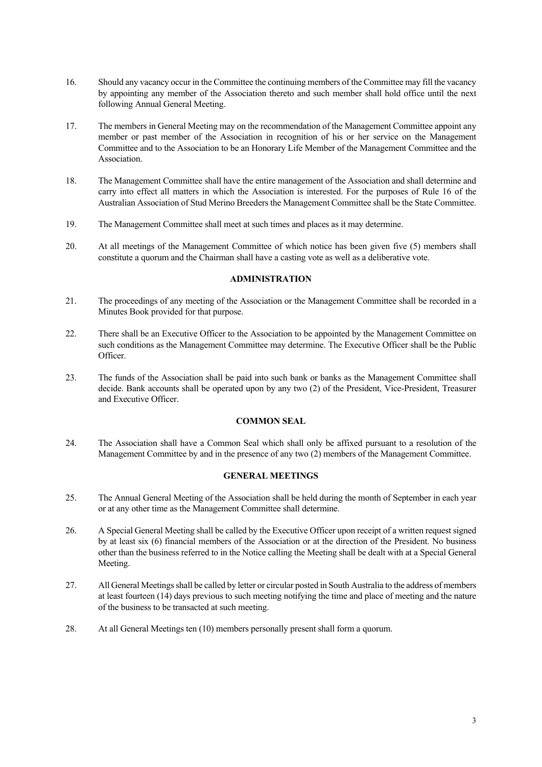- 16. Should any vacancy occur in the Committee the continuing members of the Committee may fill the vacancy by appointing any member of the Association thereto and such member shall hold office until the next following Annual General Meeting.
- 17. The members in General Meeting may on the recommendation of the Management Committee appoint any member or past member of the Association in recognition of his or her service on the Management Committee and to the Association to be an Honorary Life Member of the Management Committee and the Association.
- 18. The Management Committee shall have the entire management of the Association and shall determine and carry into effect all matters in which the Association is interested. For the purposes of Rule 16 of the Australian Association of Stud Merino Breeders the Management Committee shall be the State Committee.
- 19. The Management Committee shall meet at such times and places as it may determine.
- 20. At all meetings of the Management Committee of which notice has been given five (5) members shall constitute a quorum and the Chairman shall have a casting vote as well as a deliberative vote.

## **ADMINISTRATION**

- 21. The proceedings of any meeting of the Association or the Management Committee shall be recorded in a Minutes Book provided for that purpose.
- 22. There shall be an Executive Officer to the Association to be appointed by the Management Committee on such conditions as the Management Committee may determine. The Executive Officer shall be the Public Officer.
- 23. The funds of the Association shall be paid into such bank or banks as the Management Committee shall decide. Bank accounts shall be operated upon by any two (2) of the President, Vice-President, Treasurer and Executive Officer.

#### **COMMON SEAL**

24. The Association shall have a Common Seal which shall only be affixed pursuant to a resolution of the Management Committee by and in the presence of any two (2) members of the Management Committee.

## **GENERAL MEETINGS**

- 25. The Annual General Meeting of the Association shall be held during the month of September in each year or at any other time as the Management Committee shall determine.
- 26. A Special General Meeting shall be called by the Executive Officer upon receipt of a written request signed by at least six (6) financial members of the Association or at the direction of the President. No business other than the business referred to in the Notice calling the Meeting shall be dealt with at a Special General Meeting.
- 27. All General Meetings shall be called by letter or circular posted in South Australia to the address of members at least fourteen (14) days previous to such meeting notifying the time and place of meeting and the nature of the business to be transacted at such meeting.
- 28. At all General Meetings ten (10) members personally present shall form a quorum.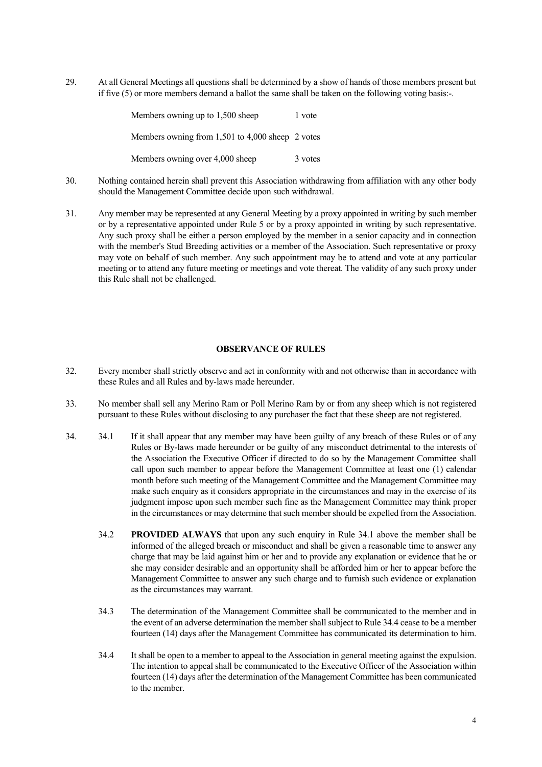29. At all General Meetings all questions shall be determined by a show of hands of those members present but if five (5) or more members demand a ballot the same shall be taken on the following voting basis:-.

| Members owning up to 1,500 sheep                 | 1 vote  |
|--------------------------------------------------|---------|
| Members owning from 1,501 to 4,000 sheep 2 votes |         |
| Members owning over 4,000 sheep                  | 3 votes |

- 30. Nothing contained herein shall prevent this Association withdrawing from affiliation with any other body should the Management Committee decide upon such withdrawal.
- 31. Any member may be represented at any General Meeting by a proxy appointed in writing by such member or by a representative appointed under Rule 5 or by a proxy appointed in writing by such representative. Any such proxy shall be either a person employed by the member in a senior capacity and in connection with the member's Stud Breeding activities or a member of the Association. Such representative or proxy may vote on behalf of such member. Any such appointment may be to attend and vote at any particular meeting or to attend any future meeting or meetings and vote thereat. The validity of any such proxy under this Rule shall not be challenged.

#### **OBSERVANCE OF RULES**

- 32. Every member shall strictly observe and act in conformity with and not otherwise than in accordance with these Rules and all Rules and by-laws made hereunder.
- 33. No member shall sell any Merino Ram or Poll Merino Ram by or from any sheep which is not registered pursuant to these Rules without disclosing to any purchaser the fact that these sheep are not registered.
- 34. 34.1 If it shall appear that any member may have been guilty of any breach of these Rules or of any Rules or By-laws made hereunder or be guilty of any misconduct detrimental to the interests of the Association the Executive Officer if directed to do so by the Management Committee shall call upon such member to appear before the Management Committee at least one (1) calendar month before such meeting of the Management Committee and the Management Committee may make such enquiry as it considers appropriate in the circumstances and may in the exercise of its judgment impose upon such member such fine as the Management Committee may think proper in the circumstances or may determine that such member should be expelled from the Association.
	- 34.2 **PROVIDED ALWAYS** that upon any such enquiry in Rule 34.1 above the member shall be informed of the alleged breach or misconduct and shall be given a reasonable time to answer any charge that may be laid against him or her and to provide any explanation or evidence that he or she may consider desirable and an opportunity shall be afforded him or her to appear before the Management Committee to answer any such charge and to furnish such evidence or explanation as the circumstances may warrant.
	- 34.3 The determination of the Management Committee shall be communicated to the member and in the event of an adverse determination the member shall subject to Rule 34.4 cease to be a member fourteen (14) days after the Management Committee has communicated its determination to him.
	- 34.4 It shall be open to a member to appeal to the Association in general meeting against the expulsion. The intention to appeal shall be communicated to the Executive Officer of the Association within fourteen (14) days after the determination of the Management Committee has been communicated to the member.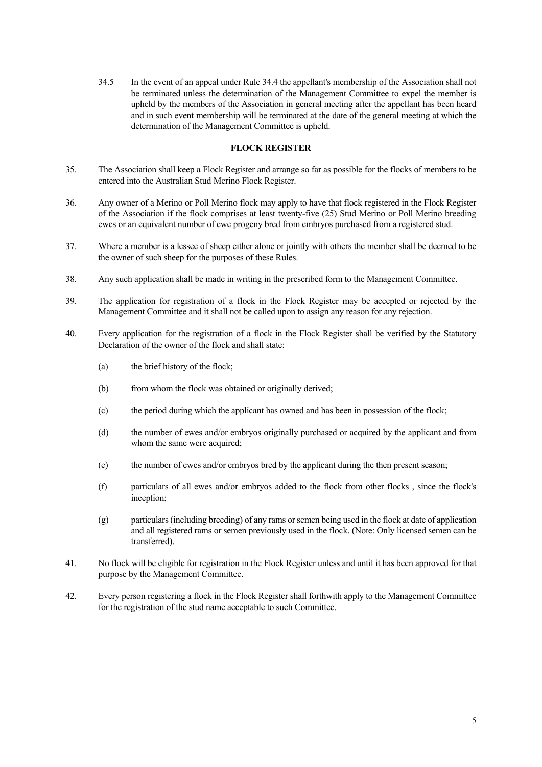34.5 In the event of an appeal under Rule 34.4 the appellant's membership of the Association shall not be terminated unless the determination of the Management Committee to expel the member is upheld by the members of the Association in general meeting after the appellant has been heard and in such event membership will be terminated at the date of the general meeting at which the determination of the Management Committee is upheld.

#### **FLOCK REGISTER**

- 35. The Association shall keep a Flock Register and arrange so far as possible for the flocks of members to be entered into the Australian Stud Merino Flock Register.
- 36. Any owner of a Merino or Poll Merino flock may apply to have that flock registered in the Flock Register of the Association if the flock comprises at least twenty-five (25) Stud Merino or Poll Merino breeding ewes or an equivalent number of ewe progeny bred from embryos purchased from a registered stud.
- 37. Where a member is a lessee of sheep either alone or jointly with others the member shall be deemed to be the owner of such sheep for the purposes of these Rules.
- 38. Any such application shall be made in writing in the prescribed form to the Management Committee.
- 39. The application for registration of a flock in the Flock Register may be accepted or rejected by the Management Committee and it shall not be called upon to assign any reason for any rejection.
- 40. Every application for the registration of a flock in the Flock Register shall be verified by the Statutory Declaration of the owner of the flock and shall state:
	- (a) the brief history of the flock;
	- (b) from whom the flock was obtained or originally derived;
	- (c) the period during which the applicant has owned and has been in possession of the flock;
	- (d) the number of ewes and/or embryos originally purchased or acquired by the applicant and from whom the same were acquired;
	- (e) the number of ewes and/or embryos bred by the applicant during the then present season;
	- (f) particulars of all ewes and/or embryos added to the flock from other flocks , since the flock's inception;
	- (g) particulars (including breeding) of any rams or semen being used in the flock at date of application and all registered rams or semen previously used in the flock. (Note: Only licensed semen can be transferred).
- 41. No flock will be eligible for registration in the Flock Register unless and until it has been approved for that purpose by the Management Committee.
- 42. Every person registering a flock in the Flock Register shall forthwith apply to the Management Committee for the registration of the stud name acceptable to such Committee.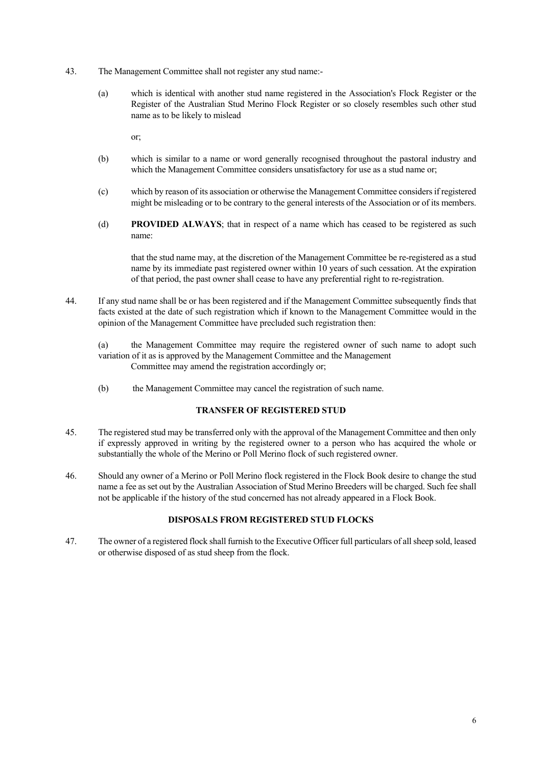- 43. The Management Committee shall not register any stud name:-
	- (a) which is identical with another stud name registered in the Association's Flock Register or the Register of the Australian Stud Merino Flock Register or so closely resembles such other stud name as to be likely to mislead

or;

- (b) which is similar to a name or word generally recognised throughout the pastoral industry and which the Management Committee considers unsatisfactory for use as a stud name or;
- (c) which by reason of its association or otherwise the Management Committee considers if registered might be misleading or to be contrary to the general interests of the Association or of its members.
- (d) **PROVIDED ALWAYS**; that in respect of a name which has ceased to be registered as such name:

 that the stud name may, at the discretion of the Management Committee be re-registered as a stud name by its immediate past registered owner within 10 years of such cessation. At the expiration of that period, the past owner shall cease to have any preferential right to re-registration.

44. If any stud name shall be or has been registered and if the Management Committee subsequently finds that facts existed at the date of such registration which if known to the Management Committee would in the opinion of the Management Committee have precluded such registration then:

(a) the Management Committee may require the registered owner of such name to adopt such variation of it as is approved by the Management Committee and the Management Committee may amend the registration accordingly or;

(b) the Management Committee may cancel the registration of such name.

#### **TRANSFER OF REGISTERED STUD**

- 45. The registered stud may be transferred only with the approval of the Management Committee and then only if expressly approved in writing by the registered owner to a person who has acquired the whole or substantially the whole of the Merino or Poll Merino flock of such registered owner.
- 46. Should any owner of a Merino or Poll Merino flock registered in the Flock Book desire to change the stud name a fee as set out by the Australian Association of Stud Merino Breeders will be charged. Such fee shall not be applicable if the history of the stud concerned has not already appeared in a Flock Book.

#### **DISPOSALS FROM REGISTERED STUD FLOCKS**

47. The owner of a registered flock shall furnish to the Executive Officer full particulars of all sheep sold, leased or otherwise disposed of as stud sheep from the flock.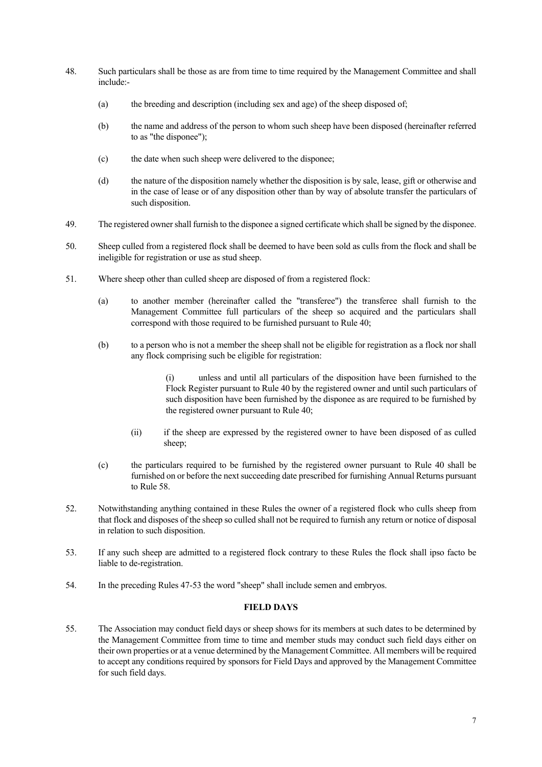- 48. Such particulars shall be those as are from time to time required by the Management Committee and shall include:-
	- (a) the breeding and description (including sex and age) of the sheep disposed of;
	- (b) the name and address of the person to whom such sheep have been disposed (hereinafter referred to as "the disponee");
	- (c) the date when such sheep were delivered to the disponee;
	- (d) the nature of the disposition namely whether the disposition is by sale, lease, gift or otherwise and in the case of lease or of any disposition other than by way of absolute transfer the particulars of such disposition.
- 49. The registered owner shall furnish to the disponee a signed certificate which shall be signed by the disponee.
- 50. Sheep culled from a registered flock shall be deemed to have been sold as culls from the flock and shall be ineligible for registration or use as stud sheep.
- 51. Where sheep other than culled sheep are disposed of from a registered flock:
	- (a) to another member (hereinafter called the "transferee") the transferee shall furnish to the Management Committee full particulars of the sheep so acquired and the particulars shall correspond with those required to be furnished pursuant to Rule 40;
	- (b) to a person who is not a member the sheep shall not be eligible for registration as a flock nor shall any flock comprising such be eligible for registration:

 (i) unless and until all particulars of the disposition have been furnished to the Flock Register pursuant to Rule 40 by the registered owner and until such particulars of such disposition have been furnished by the disponee as are required to be furnished by the registered owner pursuant to Rule 40;

- (ii) if the sheep are expressed by the registered owner to have been disposed of as culled sheep;
- (c) the particulars required to be furnished by the registered owner pursuant to Rule 40 shall be furnished on or before the next succeeding date prescribed for furnishing Annual Returns pursuant to Rule 58.
- 52. Notwithstanding anything contained in these Rules the owner of a registered flock who culls sheep from that flock and disposes of the sheep so culled shall not be required to furnish any return or notice of disposal in relation to such disposition.
- 53. If any such sheep are admitted to a registered flock contrary to these Rules the flock shall ipso facto be liable to de-registration.
- 54. In the preceding Rules 47-53 the word "sheep" shall include semen and embryos.

## **FIELD DAYS**

55. The Association may conduct field days or sheep shows for its members at such dates to be determined by the Management Committee from time to time and member studs may conduct such field days either on their own properties or at a venue determined by the Management Committee. All members will be required to accept any conditions required by sponsors for Field Days and approved by the Management Committee for such field days.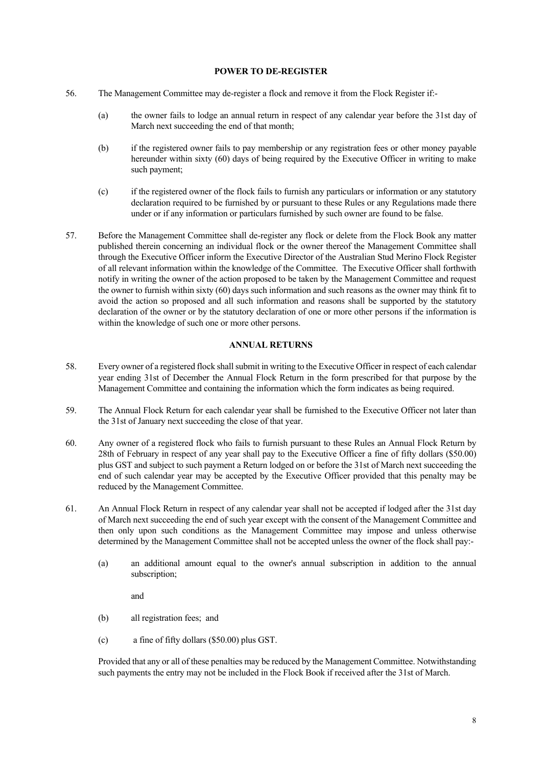#### **POWER TO DE-REGISTER**

- 56. The Management Committee may de-register a flock and remove it from the Flock Register if:-
	- (a) the owner fails to lodge an annual return in respect of any calendar year before the 31st day of March next succeeding the end of that month;
	- (b) if the registered owner fails to pay membership or any registration fees or other money payable hereunder within sixty (60) days of being required by the Executive Officer in writing to make such payment;
	- (c) if the registered owner of the flock fails to furnish any particulars or information or any statutory declaration required to be furnished by or pursuant to these Rules or any Regulations made there under or if any information or particulars furnished by such owner are found to be false.
- 57. Before the Management Committee shall de-register any flock or delete from the Flock Book any matter published therein concerning an individual flock or the owner thereof the Management Committee shall through the Executive Officer inform the Executive Director of the Australian Stud Merino Flock Register of all relevant information within the knowledge of the Committee. The Executive Officer shall forthwith notify in writing the owner of the action proposed to be taken by the Management Committee and request the owner to furnish within sixty (60) days such information and such reasons as the owner may think fit to avoid the action so proposed and all such information and reasons shall be supported by the statutory declaration of the owner or by the statutory declaration of one or more other persons if the information is within the knowledge of such one or more other persons.

#### **ANNUAL RETURNS**

- 58. Every owner of a registered flock shall submit in writing to the Executive Officer in respect of each calendar year ending 31st of December the Annual Flock Return in the form prescribed for that purpose by the Management Committee and containing the information which the form indicates as being required.
- 59. The Annual Flock Return for each calendar year shall be furnished to the Executive Officer not later than the 31st of January next succeeding the close of that year.
- 60. Any owner of a registered flock who fails to furnish pursuant to these Rules an Annual Flock Return by 28th of February in respect of any year shall pay to the Executive Officer a fine of fifty dollars (\$50.00) plus GST and subject to such payment a Return lodged on or before the 31st of March next succeeding the end of such calendar year may be accepted by the Executive Officer provided that this penalty may be reduced by the Management Committee.
- 61. An Annual Flock Return in respect of any calendar year shall not be accepted if lodged after the 31st day of March next succeeding the end of such year except with the consent of the Management Committee and then only upon such conditions as the Management Committee may impose and unless otherwise determined by the Management Committee shall not be accepted unless the owner of the flock shall pay:-
	- (a) an additional amount equal to the owner's annual subscription in addition to the annual subscription;

and

- (b) all registration fees; and
- (c) a fine of fifty dollars (\$50.00) plus GST.

 Provided that any or all of these penalties may be reduced by the Management Committee. Notwithstanding such payments the entry may not be included in the Flock Book if received after the 31st of March.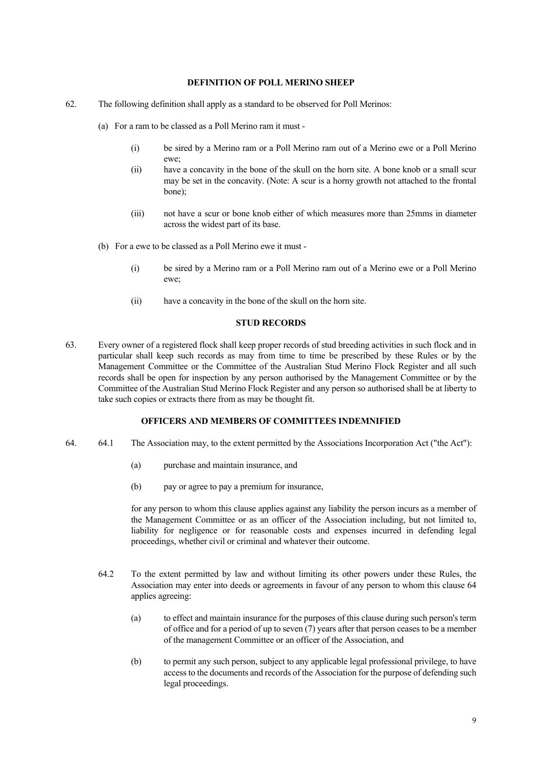#### **DEFINITION OF POLL MERINO SHEEP**

- 62. The following definition shall apply as a standard to be observed for Poll Merinos:
	- (a) For a ram to be classed as a Poll Merino ram it must
		- (i) be sired by a Merino ram or a Poll Merino ram out of a Merino ewe or a Poll Merino ewe;
		- (ii) have a concavity in the bone of the skull on the horn site. A bone knob or a small scur may be set in the concavity. (Note: A scur is a horny growth not attached to the frontal bone);
		- (iii) not have a scur or bone knob either of which measures more than 25mms in diameter across the widest part of its base.
	- (b) For a ewe to be classed as a Poll Merino ewe it must
		- (i) be sired by a Merino ram or a Poll Merino ram out of a Merino ewe or a Poll Merino ewe;
		- (ii) have a concavity in the bone of the skull on the horn site.

#### **STUD RECORDS**

63. Every owner of a registered flock shall keep proper records of stud breeding activities in such flock and in particular shall keep such records as may from time to time be prescribed by these Rules or by the Management Committee or the Committee of the Australian Stud Merino Flock Register and all such records shall be open for inspection by any person authorised by the Management Committee or by the Committee of the Australian Stud Merino Flock Register and any person so authorised shall be at liberty to take such copies or extracts there from as may be thought fit.

#### **OFFICERS AND MEMBERS OF COMMITTEES INDEMNIFIED**

- 64. 64.1 The Association may, to the extent permitted by the Associations Incorporation Act ("the Act"):
	- (a) purchase and maintain insurance, and
	- (b) pay or agree to pay a premium for insurance,

 for any person to whom this clause applies against any liability the person incurs as a member of the Management Committee or as an officer of the Association including, but not limited to, liability for negligence or for reasonable costs and expenses incurred in defending legal proceedings, whether civil or criminal and whatever their outcome.

- 64.2 To the extent permitted by law and without limiting its other powers under these Rules, the Association may enter into deeds or agreements in favour of any person to whom this clause 64 applies agreeing:
	- (a) to effect and maintain insurance for the purposes of this clause during such person's term of office and for a period of up to seven (7) years after that person ceases to be a member of the management Committee or an officer of the Association, and
	- (b) to permit any such person, subject to any applicable legal professional privilege, to have access to the documents and records of the Association for the purpose of defending such legal proceedings.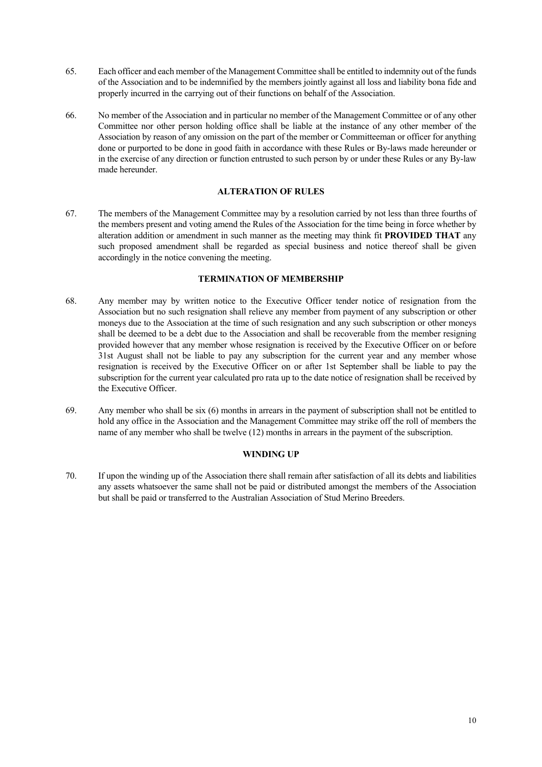- 65. Each officer and each member of the Management Committee shall be entitled to indemnity out of the funds of the Association and to be indemnified by the members jointly against all loss and liability bona fide and properly incurred in the carrying out of their functions on behalf of the Association.
- 66. No member of the Association and in particular no member of the Management Committee or of any other Committee nor other person holding office shall be liable at the instance of any other member of the Association by reason of any omission on the part of the member or Committeeman or officer for anything done or purported to be done in good faith in accordance with these Rules or By-laws made hereunder or in the exercise of any direction or function entrusted to such person by or under these Rules or any By-law made hereunder.

#### **ALTERATION OF RULES**

67. The members of the Management Committee may by a resolution carried by not less than three fourths of the members present and voting amend the Rules of the Association for the time being in force whether by alteration addition or amendment in such manner as the meeting may think fit **PROVIDED THAT** any such proposed amendment shall be regarded as special business and notice thereof shall be given accordingly in the notice convening the meeting.

## **TERMINATION OF MEMBERSHIP**

- 68. Any member may by written notice to the Executive Officer tender notice of resignation from the Association but no such resignation shall relieve any member from payment of any subscription or other moneys due to the Association at the time of such resignation and any such subscription or other moneys shall be deemed to be a debt due to the Association and shall be recoverable from the member resigning provided however that any member whose resignation is received by the Executive Officer on or before 31st August shall not be liable to pay any subscription for the current year and any member whose resignation is received by the Executive Officer on or after 1st September shall be liable to pay the subscription for the current year calculated pro rata up to the date notice of resignation shall be received by the Executive Officer.
- 69. Any member who shall be six (6) months in arrears in the payment of subscription shall not be entitled to hold any office in the Association and the Management Committee may strike off the roll of members the name of any member who shall be twelve (12) months in arrears in the payment of the subscription.

## **WINDING UP**

70. If upon the winding up of the Association there shall remain after satisfaction of all its debts and liabilities any assets whatsoever the same shall not be paid or distributed amongst the members of the Association but shall be paid or transferred to the Australian Association of Stud Merino Breeders.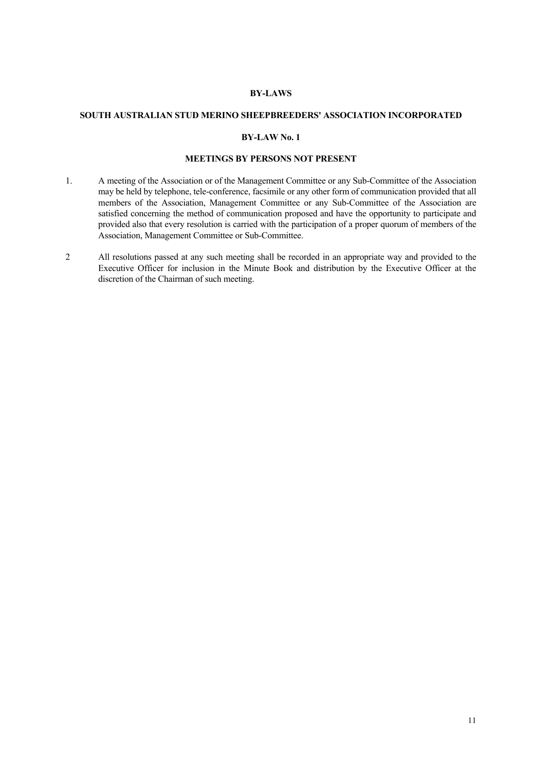#### **BY-LAWS**

#### **SOUTH AUSTRALIAN STUD MERINO SHEEPBREEDERS' ASSOCIATION INCORPORATED**

#### **BY-LAW No. 1**

## **MEETINGS BY PERSONS NOT PRESENT**

- 1. A meeting of the Association or of the Management Committee or any Sub-Committee of the Association may be held by telephone, tele-conference, facsimile or any other form of communication provided that all members of the Association, Management Committee or any Sub-Committee of the Association are satisfied concerning the method of communication proposed and have the opportunity to participate and provided also that every resolution is carried with the participation of a proper quorum of members of the Association, Management Committee or Sub-Committee.
- 2 All resolutions passed at any such meeting shall be recorded in an appropriate way and provided to the Executive Officer for inclusion in the Minute Book and distribution by the Executive Officer at the discretion of the Chairman of such meeting.